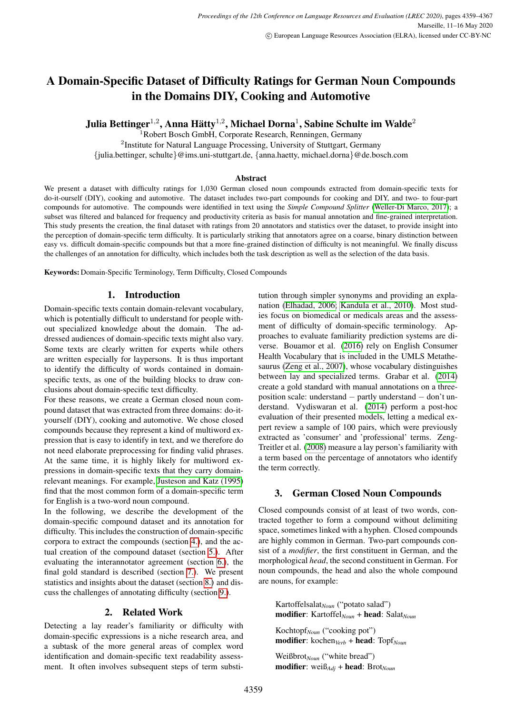# A Domain-Specific Dataset of Difficulty Ratings for German Noun Compounds in the Domains DIY, Cooking and Automotive

Julia Bettinger $^{1,2}$ , Anna Hätty $^{1,2}$ , Michael Dorna $^1$ , Sabine Schulte im Walde $^2$ 

<sup>1</sup>Robert Bosch GmbH, Corporate Research, Renningen, Germany <sup>2</sup>Institute for Natural Language Processing, University of Stuttgart, Germany {julia.bettinger, schulte}@ims.uni-stuttgart.de, {anna.haetty, michael.dorna}@de.bosch.com

#### Abstract

We present a dataset with difficulty ratings for 1,030 German closed noun compounds extracted from domain-specific texts for do-it-ourself (DIY), cooking and automotive. The dataset includes two-part compounds for cooking and DIY, and two- to four-part compounds for automotive. The compounds were identified in text using the *Simple Compound Splitter* [\(Weller-Di Marco, 2017\)](#page-8-0); a subset was filtered and balanced for frequency and productivity criteria as basis for manual annotation and fine-grained interpretation. This study presents the creation, the final dataset with ratings from 20 annotators and statistics over the dataset, to provide insight into the perception of domain-specific term difficulty. It is particularly striking that annotators agree on a coarse, binary distinction between easy vs. difficult domain-specific compounds but that a more fine-grained distinction of difficulty is not meaningful. We finally discuss the challenges of an annotation for difficulty, which includes both the task description as well as the selection of the data basis.

Keywords: Domain-Specific Terminology, Term Difficulty, Closed Compounds

## 1. Introduction

Domain-specific texts contain domain-relevant vocabulary, which is potentially difficult to understand for people without specialized knowledge about the domain. The addressed audiences of domain-specific texts might also vary. Some texts are clearly written for experts while others are written especially for laypersons. It is thus important to identify the difficulty of words contained in domainspecific texts, as one of the building blocks to draw conclusions about domain-specific text difficulty.

For these reasons, we create a German closed noun compound dataset that was extracted from three domains: do-ityourself (DIY), cooking and automotive. We chose closed compounds because they represent a kind of multiword expression that is easy to identify in text, and we therefore do not need elaborate preprocessing for finding valid phrases. At the same time, it is highly likely for multiword expressions in domain-specific texts that they carry domainrelevant meanings. For example, [Justeson and Katz \(1995\)](#page-8-1) find that the most common form of a domain-specific term for English is a two-word noun compound.

In the following, we describe the development of the domain-specific compound dataset and its annotation for difficulty. This includes the construction of domain-specific corpora to extract the compounds (section [4.\)](#page-1-0), and the actual creation of the compound dataset (section [5.\)](#page-1-1). After evaluating the interannotator agreement (section [6.\)](#page-2-0), the final gold standard is described (section [7.\)](#page-2-1). We present statistics and insights about the dataset (section [8.\)](#page-3-0) and discuss the challenges of annotating difficulty (section [9.\)](#page-6-0).

## 2. Related Work

Detecting a lay reader's familiarity or difficulty with domain-specific expressions is a niche research area, and a subtask of the more general areas of complex word identification and domain-specific text readability assessment. It often involves subsequent steps of term substitution through simpler synonyms and providing an explanation [\(Elhadad, 2006;](#page-8-2) [Kandula et al., 2010\)](#page-8-3). Most studies focus on biomedical or medicals areas and the assessment of difficulty of domain-specific terminology. Approaches to evaluate familiarity prediction systems are diverse. Bouamor et al. [\(2016\)](#page-8-4) rely on English Consumer Health Vocabulary that is included in the UMLS Metathesaurus [\(Zeng et al., 2007\)](#page-8-5), whose vocabulary distinguishes between lay and specialized terms. Grabar et al. [\(2014\)](#page-8-6) create a gold standard with manual annotations on a threeposition scale: understand − partly understand − don't understand. Vydiswaran et al. [\(2014\)](#page-8-7) perform a post-hoc evaluation of their presented models, letting a medical expert review a sample of 100 pairs, which were previously extracted as 'consumer' and 'professional' terms. Zeng-Treitler et al. [\(2008\)](#page-8-8) measure a lay person's familiarity with a term based on the percentage of annotators who identify the term correctly.

## 3. German Closed Noun Compounds

Closed compounds consist of at least of two words, contracted together to form a compound without delimiting space, sometimes linked with a hyphen. Closed compounds are highly common in German. Two-part compounds consist of a *modifier*, the first constituent in German, and the morphological *head*, the second constituent in German. For noun compounds, the head and also the whole compound are nouns, for example:

Kartoffelsalat<sub>Noun</sub> ("potato salad") modifier: Kartoffel<sub>Noun</sub> + head: Salat<sub>Noun</sub>

Kochtopf*Noun* ("cooking pot") modifier: kochen*Verb* + head: Topf*Noun*

Weißbrot<sub>Noun</sub> ("white bread") modifier: weiß<sub>Adj</sub> + head: Brot<sub>Noun</sub>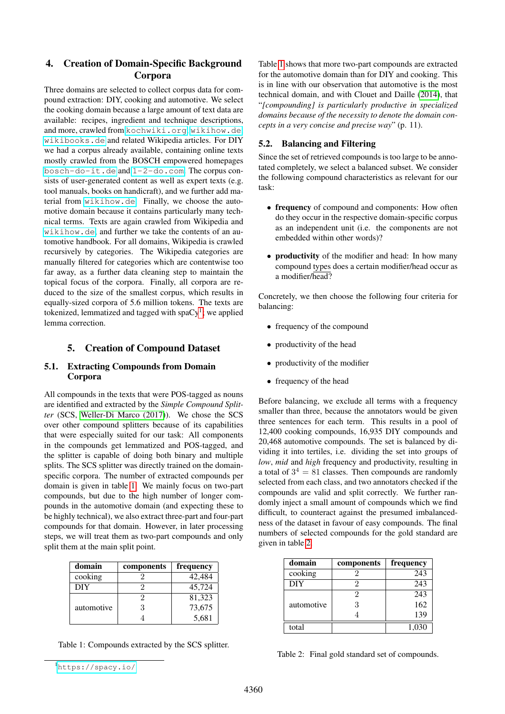# <span id="page-1-0"></span>4. Creation of Domain-Specific Background Corpora

Three domains are selected to collect corpus data for compound extraction: DIY, cooking and automotive. We select the cooking domain because a large amount of text data are available: recipes, ingredient and technique descriptions, and more, crawled from <kochwiki.org>, <wikihow.de>, <wikibooks.de> and related Wikipedia articles. For DIY we had a corpus already available, containing online texts mostly crawled from the BOSCH empowered homepages <bosch-do-it.de> and <1-2-do.com>. The corpus consists of user-generated content as well as expert texts (e.g. tool manuals, books on handicraft), and we further add material from <wikihow.de>. Finally, we choose the automotive domain because it contains particularly many technical terms. Texts are again crawled from Wikipedia and <wikihow.de>, and further we take the contents of an automotive handbook. For all domains, Wikipedia is crawled recursively by categories. The Wikipedia categories are manually filtered for categories which are contentwise too far away, as a further data cleaning step to maintain the topical focus of the corpora. Finally, all corpora are reduced to the size of the smallest corpus, which results in equally-sized corpora of 5.6 million tokens. The texts are tokenized, lemmatized and tagged with spa $Cy<sup>1</sup>$  $Cy<sup>1</sup>$  $Cy<sup>1</sup>$ ; we applied lemma correction.

# 5. Creation of Compound Dataset

## <span id="page-1-1"></span>5.1. Extracting Compounds from Domain Corpora

All compounds in the texts that were POS-tagged as nouns are identified and extracted by the *Simple Compound Splitter* (SCS, [Weller-Di Marco \(2017\)](#page-8-0)). We chose the SCS over other compound splitters because of its capabilities that were especially suited for our task: All components in the compounds get lemmatized and POS-tagged, and the splitter is capable of doing both binary and multiple splits. The SCS splitter was directly trained on the domainspecific corpora. The number of extracted compounds per domain is given in table [1.](#page-1-3) We mainly focus on two-part compounds, but due to the high number of longer compounds in the automotive domain (and expecting these to be highly technical), we also extract three-part and four-part compounds for that domain. However, in later processing steps, we will treat them as two-part compounds and only split them at the main split point.

| domain     | components | frequency |
|------------|------------|-----------|
| cooking    |            | 42,484    |
| DIY        |            | 45,724    |
| automotive |            | 81,323    |
|            | 3          | 73,675    |
|            |            | 5,681     |

<span id="page-1-3"></span>Table 1: Compounds extracted by the SCS splitter.

Table [1](#page-1-3) shows that more two-part compounds are extracted for the automotive domain than for DIY and cooking. This is in line with our observation that automotive is the most technical domain, and with Clouet and Daille [\(2014\)](#page-8-9), that "*[compounding] is particularly productive in specialized domains because of the necessity to denote the domain concepts in a very concise and precise way*" (p. 11).

## 5.2. Balancing and Filtering

Since the set of retrieved compounds is too large to be annotated completely, we select a balanced subset. We consider the following compound characteristics as relevant for our task:

- frequency of compound and components: How often do they occur in the respective domain-specific corpus as an independent unit (i.e. the components are not embedded within other words)?
- **productivity** of the modifier and head: In how many compound types does a certain modifier/head occur as a modifier/head?

Concretely, we then choose the following four criteria for balancing:

- frequency of the compound
- productivity of the head
- productivity of the modifier
- frequency of the head

Before balancing, we exclude all terms with a frequency smaller than three, because the annotators would be given three sentences for each term. This results in a pool of 12,400 cooking compounds, 16,935 DIY compounds and 20,468 automotive compounds. The set is balanced by dividing it into tertiles, i.e. dividing the set into groups of *low*, *mid* and *high* frequency and productivity, resulting in a total of  $3^4 = 81$  classes. Then compounds are randomly selected from each class, and two annotators checked if the compounds are valid and split correctly. We further randomly inject a small amount of compounds which we find difficult, to counteract against the presumed imbalancedness of the dataset in favour of easy compounds. The final numbers of selected compounds for the gold standard are given in table [2.](#page-1-4)

| domain     | components | frequency |
|------------|------------|-----------|
| cooking    |            | 243       |
| <b>DIY</b> |            | 243       |
| automotive | 2          | 243       |
|            | 3          | 162       |
|            |            | 139       |
| total      |            | 1,030     |

<span id="page-1-4"></span>Table 2: Final gold standard set of compounds.

<span id="page-1-2"></span><sup>1</sup><https://spacy.io/>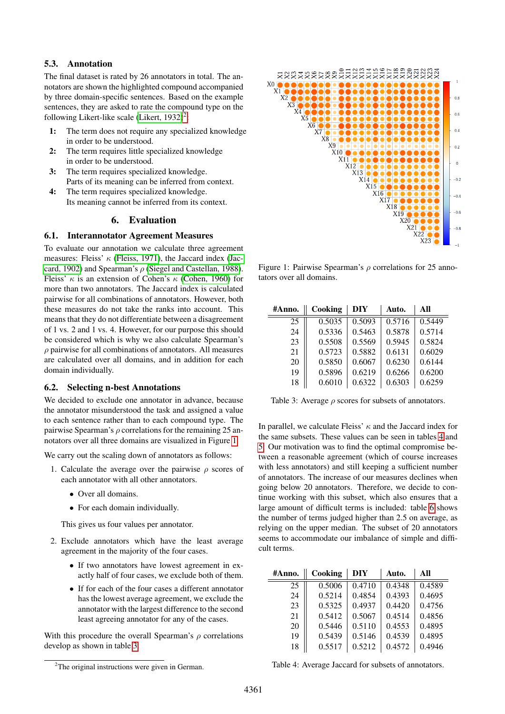## 5.3. Annotation

The final dataset is rated by 26 annotators in total. The annotators are shown the highlighted compound accompanied by three domain-specific sentences. Based on the example sentences, they are asked to rate the compound type on the following Likert-like scale (Likert,  $1932$  $1932$ )<sup>2</sup>:

- 1: The term does not require any specialized knowledge in order to be understood.
- 2: The term requires little specialized knowledge in order to be understood.
- 3: The term requires specialized knowledge. Parts of its meaning can be inferred from context.
- 4: The term requires specialized knowledge. Its meaning cannot be inferred from its context.

## 6. Evaluation

#### <span id="page-2-0"></span>6.1. Interannotator Agreement Measures

To evaluate our annotation we calculate three agreement measures: Fleiss'  $\kappa$  [\(Fleiss, 1971\)](#page-8-11), the Jaccard index [\(Jac](#page-8-12)[card, 1902\)](#page-8-12) and Spearman's  $\rho$  [\(Siegel and Castellan, 1988\)](#page-8-13). Fleiss'  $\kappa$  is an extension of Cohen's  $\kappa$  [\(Cohen, 1960\)](#page-8-14) for more than two annotators. The Jaccard index is calculated pairwise for all combinations of annotators. However, both these measures do not take the ranks into account. This means that they do not differentiate between a disagreement of 1 vs. 2 and 1 vs. 4. However, for our purpose this should be considered which is why we also calculate Spearman's  $\rho$  pairwise for all combinations of annotators. All measures are calculated over all domains, and in addition for each domain individually.

#### 6.2. Selecting n-best Annotations

We decided to exclude one annotator in advance, because the annotator misunderstood the task and assigned a value to each sentence rather than to each compound type. The pairwise Spearman's  $\rho$  correlations for the remaining 25 annotators over all three domains are visualized in Figure [1.](#page-2-3)

We carry out the scaling down of annotators as follows:

- 1. Calculate the average over the pairwise  $\rho$  scores of each annotator with all other annotators.
	- Over all domains.
	- For each domain individually.

This gives us four values per annotator.

- 2. Exclude annotators which have the least average agreement in the majority of the four cases.
	- If two annotators have lowest agreement in exactly half of four cases, we exclude both of them.
	- If for each of the four cases a different annotator has the lowest average agreement, we exclude the annotator with the largest difference to the second least agreeing annotator for any of the cases.

With this procedure the overall Spearman's  $\rho$  correlations develop as shown in table [3.](#page-2-4)



<span id="page-2-3"></span>Figure 1: Pairwise Spearman's  $\rho$  correlations for 25 annotators over all domains.

| #Anno. | Cooking | DIY    | Auto.  | All    |
|--------|---------|--------|--------|--------|
| 25     | 0.5035  | 0.5093 | 0.5716 | 0.5449 |
| 24     | 0.5336  | 0.5463 | 0.5878 | 0.5714 |
| 23     | 0.5508  | 0.5569 | 0.5945 | 0.5824 |
| 21     | 0.5723  | 0.5882 | 0.6131 | 0.6029 |
| 20     | 0.5850  | 0.6067 | 0.6230 | 0.6144 |
| 19     | 0.5896  | 0.6219 | 0.6266 | 0.6200 |
| 18     | 0.6010  | 0.6322 | 0.6303 | 0.6259 |

<span id="page-2-4"></span>Table 3: Average  $\rho$  scores for subsets of annotators.

In parallel, we calculate Fleiss'  $\kappa$  and the Jaccard index for the same subsets. These values can be seen in tables [4](#page-2-5) and [5.](#page-3-1) Our motivation was to find the optimal compromise between a reasonable agreement (which of course increases with less annotators) and still keeping a sufficient number of annotators. The increase of our measures declines when going below 20 annotators. Therefore, we decide to continue working with this subset, which also ensures that a large amount of difficult terms is included: table [6](#page-3-2) shows the number of terms judged higher than 2.5 on average, as relying on the upper median. The subset of 20 annotators seems to accommodate our imbalance of simple and difficult terms.

<span id="page-2-1"></span>

| #Anno. | Cooking | DIY    | Auto.  | All    |
|--------|---------|--------|--------|--------|
| 25     | 0.5006  | 0.4710 | 0.4348 | 0.4589 |
| 24     | 0.5214  | 0.4854 | 0.4393 | 0.4695 |
| 23     | 0.5325  | 0.4937 | 0.4420 | 0.4756 |
| 21     | 0.5412  | 0.5067 | 0.4514 | 0.4856 |
| 20     | 0.5446  | 0.5110 | 0.4553 | 0.4895 |
| 19     | 0.5439  | 0.5146 | 0.4539 | 0.4895 |
| 18     | 0.5517  | 0.5212 | 0.4572 | 0.4946 |

<span id="page-2-5"></span>Table 4: Average Jaccard for subsets of annotators.

<span id="page-2-2"></span> $2$ The original instructions were given in German.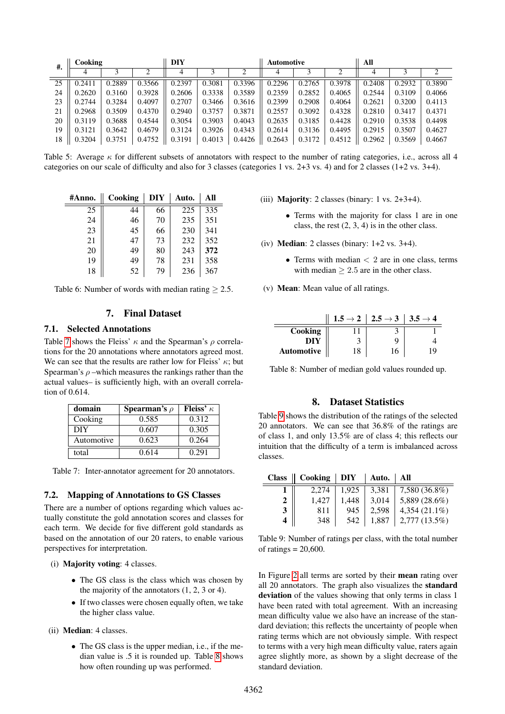| #. |        | DIY<br>Cooking<br><b>Automotive</b> |        |        |        |        | All    |        |        |        |        |        |
|----|--------|-------------------------------------|--------|--------|--------|--------|--------|--------|--------|--------|--------|--------|
|    |        |                                     |        | 4      |        | ↑      | 4      |        |        | 4      |        |        |
| 25 | 0.2411 | 0.2889                              | 0.3566 | 0.2397 | 0.3081 | 0.3396 | 0.2296 | 0.2765 | 0.3978 | 0.2408 | 0.2932 | 0.3890 |
| 24 | 0.2620 | 0.3160                              | 0.3928 | 0.2606 | 0.3338 | 0.3589 | 0.2359 | 0.2852 | 0.4065 | 0.2544 | 0.3109 | 0.4066 |
| 23 | 0.2744 | 0.3284                              | 0.4097 | 0.2707 | 0.3466 | 0.3616 | 0.2399 | 0.2908 | 0.4064 | 0.2621 | 0.3200 | 0.4113 |
| 21 | 0.2968 | 0.3509                              | 0.4370 | 0.2940 | 0.3757 | 0.3871 | 0.2557 | 0.3092 | 0.4328 | 0.2810 | 0.3417 | 0.4371 |
| 20 | 0.3119 | 0.3688                              | 0.4544 | 0.3054 | 0.3903 | 0.4043 | 0.2635 | 0.3185 | 0.4428 | 0.2910 | 0.3538 | 0.4498 |
| 19 | 0.3121 | 0.3642                              | 0.4679 | 0.3124 | 0.3926 | 0.4343 | 0.2614 | 0.3136 | 0.4495 | 0.2915 | 0.3507 | 0.4627 |
| 18 | 0.3204 | 0.3751                              | 0.4752 | 0.3191 | 0.4013 | 0.4426 | 0.2643 | 0.3172 | 0.4512 | 0.2962 | 0.3569 | 0.4667 |

<span id="page-3-1"></span>Table 5: Average  $\kappa$  for different subsets of annotators with respect to the number of rating categories, i.e., across all 4 categories on our scale of difficulty and also for 3 classes (categories 1 vs. 2+3 vs. 4) and for 2 classes (1+2 vs. 3+4).

| #Anno. | Cooking | DIY | Auto. | All |
|--------|---------|-----|-------|-----|
| 25     | 44      | 66  | 225   | 335 |
| 24     | 46      | 70  | 235   | 351 |
| 23     | 45      | 66  | 230   | 341 |
| 21     | 47      | 73  | 232   | 352 |
| 20     | 49      | 80  | 243   | 372 |
| 19     | 49      | 78  | 231   | 358 |
| 18     | 52      | 79  | 236   | 367 |

<span id="page-3-2"></span>Table 6: Number of words with median rating  $\geq 2.5$ .

## 7. Final Dataset

## 7.1. Selected Annotations

Table [7](#page-3-3) shows the Fleiss'  $\kappa$  and the Spearman's  $\rho$  correlations for the 20 annotations where annotators agreed most. We can see that the results are rather low for Fleiss'  $\kappa$ ; but Spearman's  $\rho$  –which measures the rankings rather than the actual values– is sufficiently high, with an overall correlation of 0.614.

| domain     | <b>Spearman's</b> $\rho$ | Fleiss' $\kappa$ |
|------------|--------------------------|------------------|
| Cooking    | 0.585                    | 0.312            |
| <b>DIY</b> | 0.607                    | 0.305            |
| Automotive | 0.623                    | 0.264            |
| total      | 0.614                    | 0.291            |

<span id="page-3-3"></span>Table 7: Inter-annotator agreement for 20 annotators.

## 7.2. Mapping of Annotations to GS Classes

There are a number of options regarding which values actually constitute the gold annotation scores and classes for each term. We decide for five different gold standards as based on the annotation of our 20 raters, to enable various perspectives for interpretation.

(i) Majority voting: 4 classes.

- The GS class is the class which was chosen by the majority of the annotators (1, 2, 3 or 4).
- If two classes were chosen equally often, we take the higher class value.
- (ii) Median: 4 classes.
	- The GS class is the upper median, i.e., if the median value is .5 it is rounded up. Table [8](#page-3-4) shows how often rounding up was performed.
- (iii) **Majority**: 2 classes (binary:  $1$  vs.  $2+3+4$ ).
	- Terms with the majority for class 1 are in one class, the rest  $(2, 3, 4)$  is in the other class.
- (iv) **Median**: 2 classes (binary:  $1+2$  vs.  $3+4$ ).
	- Terms with median  $\lt 2$  are in one class, terms with median  $\geq 2.5$  are in the other class.
- (v) Mean: Mean value of all ratings.

|                   | $1.5 \rightarrow 2$   $2.5 \rightarrow 3$   $3.5 \rightarrow 4$ |  |
|-------------------|-----------------------------------------------------------------|--|
| Cooking           |                                                                 |  |
| DIY               |                                                                 |  |
| <b>Automotive</b> |                                                                 |  |

<span id="page-3-4"></span>Table 8: Number of median gold values rounded up.

#### 8. Dataset Statistics

<span id="page-3-0"></span>Table [9](#page-3-5) shows the distribution of the ratings of the selected 20 annotators. We can see that 36.8% of the ratings are of class 1, and only 13.5% are of class 4; this reflects our intuition that the difficulty of a term is imbalanced across classes.

|   | Class    Cooking   DIY |       | Auto. | All             |
|---|------------------------|-------|-------|-----------------|
|   | 2.274                  | 1.925 | 3.381 | 7,580 (36.8%)   |
| 2 | 1.427                  | 1,448 | 3,014 | 5,889 (28.6%)   |
| 3 | 811                    | 945   | 2.598 | $4,354(21.1\%)$ |
|   | 348                    | 542   | 1.887 | 2,777 (13.5%)   |

<span id="page-3-5"></span>Table 9: Number of ratings per class, with the total number of ratings  $= 20,600$ .

In Figure [2](#page-4-0) all terms are sorted by their mean rating over all 20 annotators. The graph also visualizes the standard deviation of the values showing that only terms in class 1 have been rated with total agreement. With an increasing mean difficulty value we also have an increase of the standard deviation; this reflects the uncertainty of people when rating terms which are not obviously simple. With respect to terms with a very high mean difficulty value, raters again agree slightly more, as shown by a slight decrease of the standard deviation.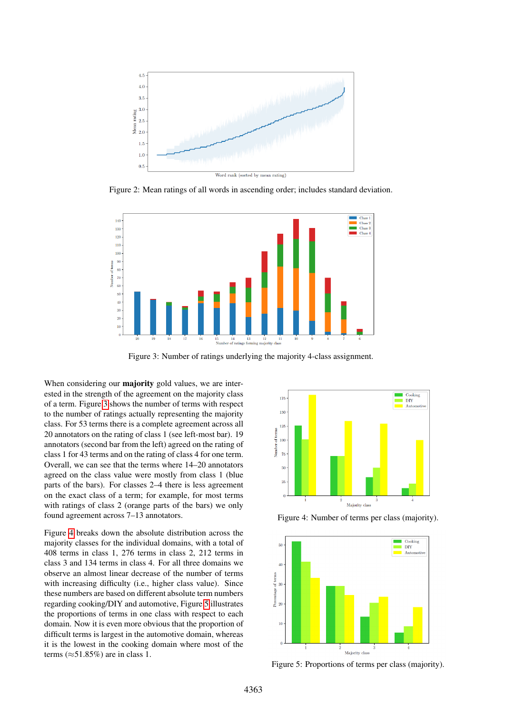

<span id="page-4-0"></span>Figure 2: Mean ratings of all words in ascending order; includes standard deviation.



<span id="page-4-1"></span>Figure 3: Number of ratings underlying the majority 4-class assignment.

When considering our majority gold values, we are interested in the strength of the agreement on the majority class of a term. Figure [3](#page-4-1) shows the number of terms with respect to the number of ratings actually representing the majority class. For 53 terms there is a complete agreement across all 20 annotators on the rating of class 1 (see left-most bar). 19 annotators (second bar from the left) agreed on the rating of class 1 for 43 terms and on the rating of class 4 for one term. Overall, we can see that the terms where 14–20 annotators agreed on the class value were mostly from class 1 (blue parts of the bars). For classes 2–4 there is less agreement on the exact class of a term; for example, for most terms with ratings of class 2 (orange parts of the bars) we only found agreement across 7–13 annotators.

Figure [4](#page-4-2) breaks down the absolute distribution across the majority classes for the individual domains, with a total of 408 terms in class 1, 276 terms in class 2, 212 terms in class 3 and 134 terms in class 4. For all three domains we observe an almost linear decrease of the number of terms with increasing difficulty (i.e., higher class value). Since these numbers are based on different absolute term numbers regarding cooking/DIY and automotive, Figure [5](#page-4-3) illustrates the proportions of terms in one class with respect to each domain. Now it is even more obvious that the proportion of difficult terms is largest in the automotive domain, whereas it is the lowest in the cooking domain where most of the terms ( $\approx$ 51.85%) are in class 1.



<span id="page-4-2"></span>Figure 4: Number of terms per class (majority).



<span id="page-4-3"></span>Figure 5: Proportions of terms per class (majority).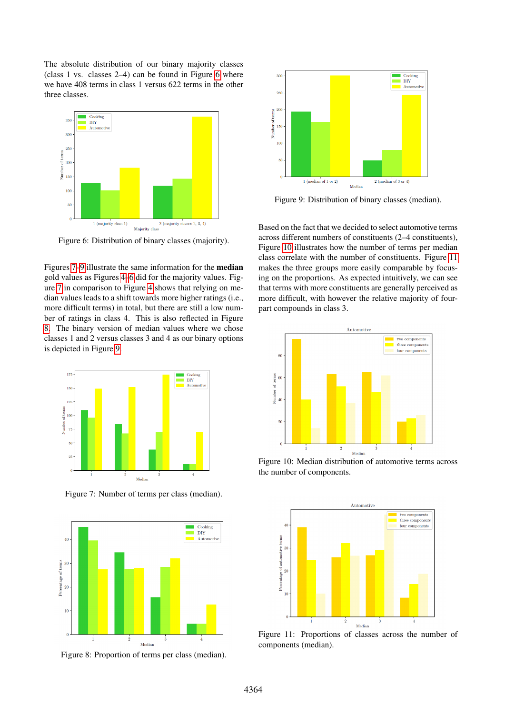The absolute distribution of our binary majority classes (class 1 vs. classes 2–4) can be found in Figure [6](#page-5-0) where we have 408 terms in class 1 versus 622 terms in the other three classes.



<span id="page-5-0"></span>Figure 6: Distribution of binary classes (majority).

Figures [7–](#page-5-1)[9](#page-5-2) illustrate the same information for the median gold values as Figures [4–](#page-4-2)[6](#page-5-0) did for the majority values. Figure [7](#page-5-1) in comparison to Figure [4](#page-4-2) shows that relying on median values leads to a shift towards more higher ratings (i.e., more difficult terms) in total, but there are still a low number of ratings in class 4. This is also reflected in Figure [8.](#page-5-3) The binary version of median values where we chose classes 1 and 2 versus classes 3 and 4 as our binary options is depicted in Figure [9.](#page-5-2)



<span id="page-5-1"></span>Figure 7: Number of terms per class (median).



<span id="page-5-3"></span>Figure 8: Proportion of terms per class (median).



<span id="page-5-2"></span>Figure 9: Distribution of binary classes (median).

Based on the fact that we decided to select automotive terms across different numbers of constituents (2–4 constituents), Figure [10](#page-5-4) illustrates how the number of terms per median class correlate with the number of constituents. Figure [11](#page-5-5) makes the three groups more easily comparable by focusing on the proportions. As expected intuitively, we can see that terms with more constituents are generally perceived as more difficult, with however the relative majority of fourpart compounds in class 3.



<span id="page-5-4"></span>Figure 10: Median distribution of automotive terms across the number of components.



<span id="page-5-5"></span>Figure 11: Proportions of classes across the number of components (median).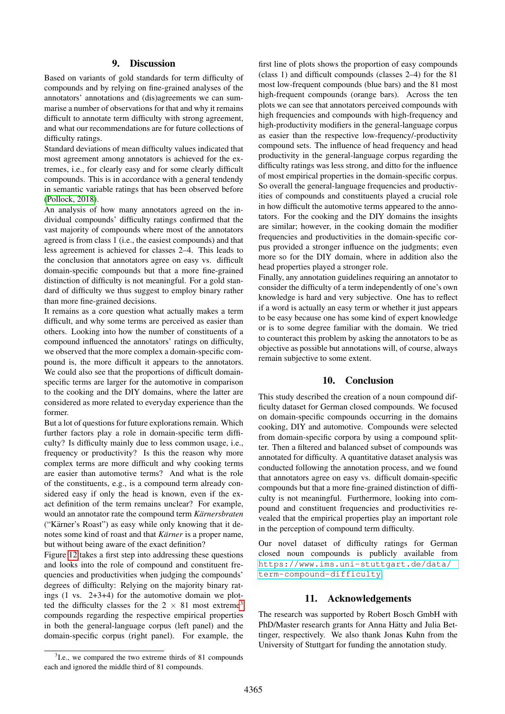#### 9. Discussion

<span id="page-6-0"></span>Based on variants of gold standards for term difficulty of compounds and by relying on fine-grained analyses of the annotators' annotations and (dis)agreements we can summarise a number of observations for that and why it remains difficult to annotate term difficulty with strong agreement, and what our recommendations are for future collections of difficulty ratings.

Standard deviations of mean difficulty values indicated that most agreement among annotators is achieved for the extremes, i.e., for clearly easy and for some clearly difficult compounds. This is in accordance with a general tendendy in semantic variable ratings that has been observed before [\(Pollock, 2018\)](#page-8-15).

An analysis of how many annotators agreed on the individual compounds' difficulty ratings confirmed that the vast majority of compounds where most of the annotators agreed is from class 1 (i.e., the easiest compounds) and that less agreement is achieved for classes 2–4. This leads to the conclusion that annotators agree on easy vs. difficult domain-specific compounds but that a more fine-grained distinction of difficulty is not meaningful. For a gold standard of difficulty we thus suggest to employ binary rather than more fine-grained decisions.

It remains as a core question what actually makes a term difficult, and why some terms are perceived as easier than others. Looking into how the number of constituents of a compound influenced the annotators' ratings on difficulty, we observed that the more complex a domain-specific compound is, the more difficult it appears to the annotators. We could also see that the proportions of difficult domainspecific terms are larger for the automotive in comparison to the cooking and the DIY domains, where the latter are considered as more related to everyday experience than the former.

But a lot of questions for future explorations remain. Which further factors play a role in domain-specific term difficulty? Is difficulty mainly due to less common usage, i.e., frequency or productivity? Is this the reason why more complex terms are more difficult and why cooking terms are easier than automotive terms? And what is the role of the constituents, e.g., is a compound term already considered easy if only the head is known, even if the exact definition of the term remains unclear? For example, would an annotator rate the compound term *Kärnersbraten* ("Kärner's Roast") as easy while only knowing that it denotes some kind of roast and that *Kärner* is a proper name, but without being aware of the exact definition?

Figure [12](#page-7-0) takes a first step into addressing these questions and looks into the role of compound and constituent frequencies and productivities when judging the compounds' degrees of difficulty: Relying on the majority binary ratings  $(1 \text{ vs. } 2+3+4)$  for the automotive domain we plotted the difficulty classes for the  $2 \times 81$  most extreme<sup>[3](#page-6-1)</sup> compounds regarding the respective empirical properties in both the general-language corpus (left panel) and the domain-specific corpus (right panel). For example, the

<span id="page-6-1"></span><sup>3</sup>I.e., we compared the two extreme thirds of 81 compounds each and ignored the middle third of 81 compounds.

first line of plots shows the proportion of easy compounds (class 1) and difficult compounds (classes 2–4) for the 81 most low-frequent compounds (blue bars) and the 81 most high-frequent compounds (orange bars). Across the ten plots we can see that annotators perceived compounds with high frequencies and compounds with high-frequency and high-productivity modifiers in the general-language corpus as easier than the respective low-frequency/-productivity compound sets. The influence of head frequency and head productivity in the general-language corpus regarding the difficulty ratings was less strong, and ditto for the influence of most empirical properties in the domain-specific corpus. So overall the general-language frequencies and productivities of compounds and constituents played a crucial role in how difficult the automotive terms appeared to the annotators. For the cooking and the DIY domains the insights are similar; however, in the cooking domain the modifier frequencies and productivities in the domain-specific corpus provided a stronger influence on the judgments; even more so for the DIY domain, where in addition also the head properties played a stronger role.

Finally, any annotation guidelines requiring an annotator to consider the difficulty of a term independently of one's own knowledge is hard and very subjective. One has to reflect if a word is actually an easy term or whether it just appears to be easy because one has some kind of expert knowledge or is to some degree familiar with the domain. We tried to counteract this problem by asking the annotators to be as objective as possible but annotations will, of course, always remain subjective to some extent.

#### 10. Conclusion

This study described the creation of a noun compound difficulty dataset for German closed compounds. We focused on domain-specific compounds occurring in the domains cooking, DIY and automotive. Compounds were selected from domain-specific corpora by using a compound splitter. Then a filtered and balanced subset of compounds was annotated for difficulty. A quantitative dataset analysis was conducted following the annotation process, and we found that annotators agree on easy vs. difficult domain-specific compounds but that a more fine-grained distinction of difficulty is not meaningful. Furthermore, looking into compound and constituent frequencies and productivities revealed that the empirical properties play an important role in the perception of compound term difficulty.

Our novel dataset of difficulty ratings for German closed noun compounds is publicly available from [https://www.ims.uni-stuttgart.de/data/](https://www.ims.uni-stuttgart.de/data/term-compound-difficulty) [term-compound-difficulty](https://www.ims.uni-stuttgart.de/data/term-compound-difficulty).

## 11. Acknowledgements

The research was supported by Robert Bosch GmbH with PhD/Master research grants for Anna Hätty and Julia Bettinger, respectively. We also thank Jonas Kuhn from the University of Stuttgart for funding the annotation study.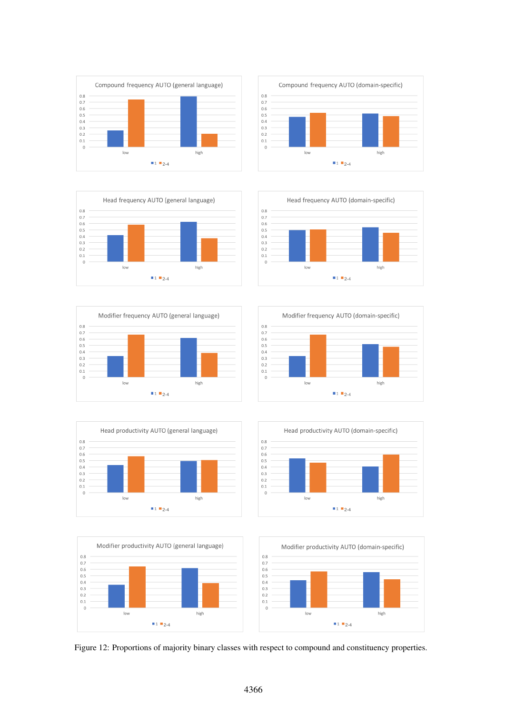



















<span id="page-7-0"></span>Figure 12: Proportions of majority binary classes with respect to compound and constituency properties.